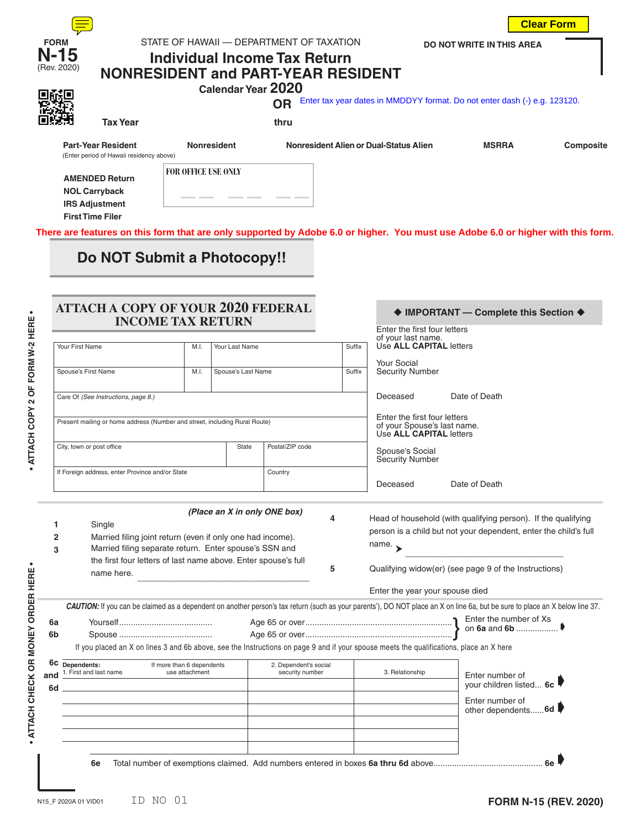| <b>FORM</b> |  |
|-------------|--|
|             |  |
| Rev. 2020   |  |

## **STATE OF HAWAII — DEPARTMENT OF TAXATION N-15 Individual Income Tax Return**

**DO NOT WRITE IN THIS AREA**

**Clear Form**

## (Rev. 2020) **NONRESIDENT and PART-YEAR RESIDENT Calendar Year 2020**

**RADIO CONTRACTOR** Enter tax year dates in MMDDYY format. Do not enter dash (-) e.g. 123120.

**Tax Year thru**

**Part-Year Resident Nonresident Nonresident Alien or Dual-Status Alien MSRRA Composite**

(Enter period of Hawaii residency above)

**FOR OFFICE USE ONLY**

 **AMENDED Return NOL Carryback IRS Adjustment First Time Filer**

**There are features on this form that are only supported by Adobe 6.0 or higher. You must use Adobe 6.0 or higher with this form.**

## **Do NOT Submit a Photocopy!!**

|                            |                                                                                                                                         |                | <b>INCOME TAX RETURN</b> |                                          |        | Enter the first four letters<br>of your last name.                                     |                                                                                                                                                                              |
|----------------------------|-----------------------------------------------------------------------------------------------------------------------------------------|----------------|--------------------------|------------------------------------------|--------|----------------------------------------------------------------------------------------|------------------------------------------------------------------------------------------------------------------------------------------------------------------------------|
|                            | Your First Name                                                                                                                         | M.I.           | Your Last Name           |                                          | Suffix | Use ALL CAPITAL letters                                                                |                                                                                                                                                                              |
|                            | Spouse's First Name                                                                                                                     | M.I.           | Spouse's Last Name       |                                          | Suffix | <b>Your Social</b><br><b>Security Number</b>                                           |                                                                                                                                                                              |
|                            |                                                                                                                                         |                |                          |                                          |        |                                                                                        |                                                                                                                                                                              |
|                            | Care Of (See Instructions, page 8.)                                                                                                     |                |                          |                                          |        | Deceased                                                                               | Date of Death                                                                                                                                                                |
|                            | Present mailing or home address (Number and street, including Rural Route)                                                              |                |                          |                                          |        | Enter the first four letters<br>of your Spouse's last name.<br>Use ALL CAPITAL letters |                                                                                                                                                                              |
|                            | City, town or post office                                                                                                               |                | State                    | Postal/ZIP code                          |        | Spouse's Social<br>Security Number                                                     |                                                                                                                                                                              |
|                            | If Foreign address, enter Province and/or State                                                                                         |                |                          | Country                                  |        | Deceased                                                                               | Date of Death                                                                                                                                                                |
|                            | Married filing separate return. Enter spouse's SSN and                                                                                  |                |                          |                                          |        | name. $\rightarrow$                                                                    |                                                                                                                                                                              |
|                            | the first four letters of last name above. Enter spouse's full<br>name here.                                                            |                |                          |                                          | 5      |                                                                                        | Qualifying widow(er) (see page 9 of the Instructions)                                                                                                                        |
|                            |                                                                                                                                         |                |                          |                                          |        | Enter the year your spouse died                                                        |                                                                                                                                                                              |
|                            |                                                                                                                                         |                |                          |                                          |        |                                                                                        | CAUTION: If you can be claimed as a dependent on another person's tax return (such as your parents'), DO NOT place an X on line 6a, but be sure to place an X below line 37. |
|                            |                                                                                                                                         |                |                          |                                          |        |                                                                                        |                                                                                                                                                                              |
|                            |                                                                                                                                         |                |                          |                                          |        |                                                                                        |                                                                                                                                                                              |
|                            | If you placed an X on lines 3 and 6b above, see the Instructions on page 9 and if your spouse meets the qualifications, place an X here |                |                          |                                          |        |                                                                                        |                                                                                                                                                                              |
|                            | 6C Dependents:<br>If more than 6 dependents<br>1. First and last name                                                                   | use attachment |                          | 2. Dependent's social<br>security number |        | 3. Relationship                                                                        | Enter number of                                                                                                                                                              |
|                            |                                                                                                                                         |                |                          |                                          |        |                                                                                        | your children listed 6c                                                                                                                                                      |
|                            |                                                                                                                                         |                |                          |                                          |        |                                                                                        | Enter number of<br>other dependents 6d                                                                                                                                       |
| 3<br>6a<br>6b<br>and<br>6d |                                                                                                                                         |                |                          |                                          |        |                                                                                        |                                                                                                                                                                              |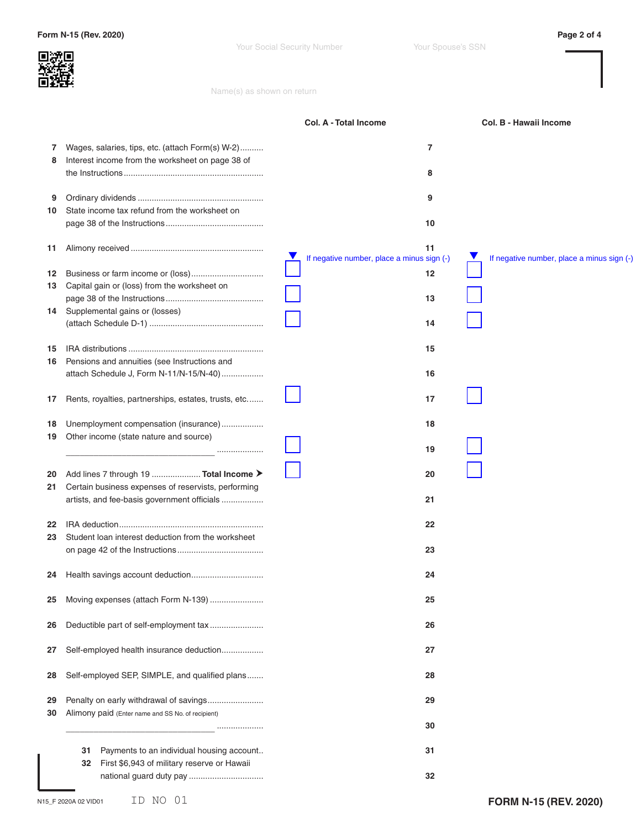Your Social Security Number Your Spouse's SSN

Name(s) as shown on return

|          |                                                                                                      | <b>Col. A - Total Income</b>                          | Col. B - Hawaii Income                     |
|----------|------------------------------------------------------------------------------------------------------|-------------------------------------------------------|--------------------------------------------|
| 7<br>8   | Wages, salaries, tips, etc. (attach Form(s) W-2)<br>Interest income from the worksheet on page 38 of | 7<br>8                                                |                                            |
| 9<br>10  | State income tax refund from the worksheet on                                                        | 9<br>10                                               |                                            |
| 11       |                                                                                                      | 11<br>V<br>If negative number, place a minus sign (-) | If negative number, place a minus sign (-) |
| 12<br>13 | Capital gain or (loss) from the worksheet on                                                         | 12                                                    |                                            |
| 14       | Supplemental gains or (losses)                                                                       | 13                                                    |                                            |
|          |                                                                                                      | 14                                                    |                                            |
| 15<br>16 | Pensions and annuities (see Instructions and                                                         | 15                                                    |                                            |
|          | attach Schedule J, Form N-11/N-15/N-40)                                                              | 16                                                    |                                            |
| 17       | Rents, royalties, partnerships, estates, trusts, etc                                                 | 17                                                    |                                            |
| 18<br>19 | Unemployment compensation (insurance)<br>Other income (state nature and source)                      | 18                                                    |                                            |
|          |                                                                                                      | 19                                                    |                                            |
| 20<br>21 | Add lines 7 through 19  Total Income ><br>Certain business expenses of reservists, performing        | 20                                                    |                                            |
|          | artists, and fee-basis government officials                                                          | 21                                                    |                                            |
| 22<br>23 | Student loan interest deduction from the worksheet                                                   | 22                                                    |                                            |
|          |                                                                                                      | 23                                                    |                                            |
| 24       |                                                                                                      | 24                                                    |                                            |
| 25       | Moving expenses (attach Form N-139)                                                                  | 25                                                    |                                            |
| 26       | Deductible part of self-employment tax                                                               | 26                                                    |                                            |
| 27       | Self-employed health insurance deduction                                                             | 27                                                    |                                            |
| 28       | Self-employed SEP, SIMPLE, and qualified plans                                                       | 28                                                    |                                            |
| 29<br>30 | Penalty on early withdrawal of savings<br>Alimony paid (Enter name and SS No. of recipient)          | 29                                                    |                                            |
|          |                                                                                                      | 30                                                    |                                            |
|          | Payments to an individual housing account<br>31<br>First \$6,943 of military reserve or Hawaii<br>32 | 31                                                    |                                            |
|          |                                                                                                      | 32                                                    |                                            |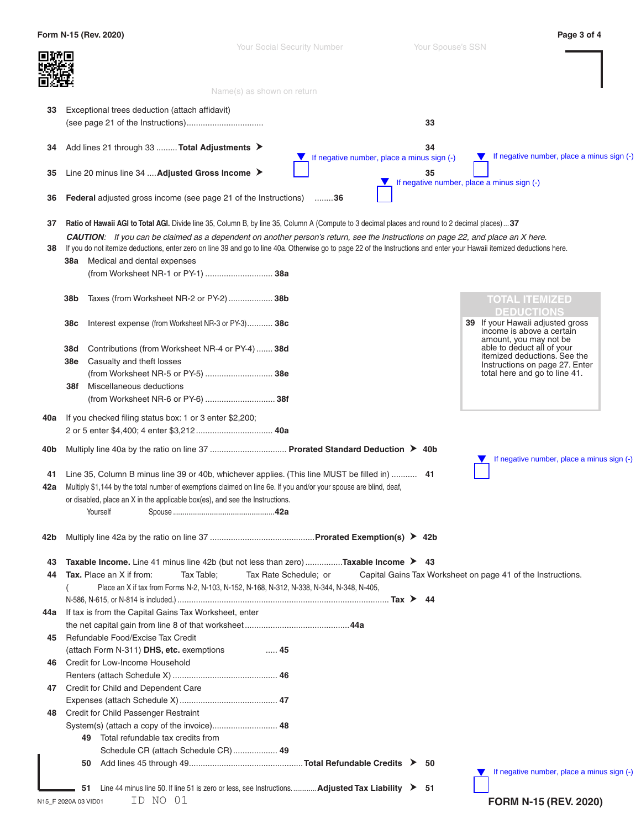|     | Form N-15 (Rev. 2020)                                                                                                                                                   |                                                                  |                                                             | Page 3 of 4                                                                          |
|-----|-------------------------------------------------------------------------------------------------------------------------------------------------------------------------|------------------------------------------------------------------|-------------------------------------------------------------|--------------------------------------------------------------------------------------|
|     |                                                                                                                                                                         | <b>Your Social Security Number</b><br>Name(s) as shown on return | Your Spouse's SSN                                           |                                                                                      |
|     |                                                                                                                                                                         |                                                                  |                                                             |                                                                                      |
| 33  | Exceptional trees deduction (attach affidavit)                                                                                                                          |                                                                  | 33                                                          |                                                                                      |
| 34  | Add lines 21 through 33  Total Adjustments ▶                                                                                                                            |                                                                  | 34<br>If negative number, place a minus sign (-)            | If negative number, place a minus sign (-)                                           |
| 35  | Line 20 minus line 34  Adjusted Gross Income ▶                                                                                                                          |                                                                  | 35<br>If negative number, place a minus sign (-)            |                                                                                      |
| 36  | <b>Federal</b> adjusted gross income (see page 21 of the Instructions)                                                                                                  | . 36                                                             |                                                             |                                                                                      |
| 37  | Ratio of Hawaii AGI to Total AGI. Divide line 35, Column B, by line 35, Column A (Compute to 3 decimal places and round to 2 decimal places)37                          |                                                                  |                                                             |                                                                                      |
|     | CAUTION: If you can be claimed as a dependent on another person's return, see the Instructions on page 22, and place an X here.                                         |                                                                  |                                                             |                                                                                      |
| 38  | If you do not itemize deductions, enter zero on line 39 and go to line 40a. Otherwise go to page 22 of the Instructions and enter your Hawaii itemized deductions here. |                                                                  |                                                             |                                                                                      |
|     | Medical and dental expenses<br>38a                                                                                                                                      |                                                                  |                                                             |                                                                                      |
|     | (from Worksheet NR-1 or PY-1)  38a                                                                                                                                      |                                                                  |                                                             |                                                                                      |
|     | 38b<br>Taxes (from Worksheet NR-2 or PY-2) 38b                                                                                                                          |                                                                  |                                                             | <b>TOTAL ITEMIZED</b>                                                                |
|     | 38c<br>Interest expense (from Worksheet NR-3 or PY-3) 38c                                                                                                               |                                                                  |                                                             | <b>DEDUCTIONS</b><br>39 If your Hawaii adjusted gross<br>income is above a certain   |
|     | 38d<br>Contributions (from Worksheet NR-4 or PY-4)  38d<br>Casualty and theft losses<br>38e                                                                             |                                                                  |                                                             | amount, you may not be<br>able to deduct all of your<br>itemized deductions. See the |
|     | (from Worksheet NR-5 or PY-5)  38e                                                                                                                                      |                                                                  |                                                             | Instructions on page 27. Enter<br>total here and go to line 41.                      |
|     | Miscellaneous deductions<br>38f                                                                                                                                         |                                                                  |                                                             |                                                                                      |
|     | (from Worksheet NR-6 or PY-6)  38f                                                                                                                                      |                                                                  |                                                             |                                                                                      |
|     |                                                                                                                                                                         |                                                                  |                                                             |                                                                                      |
| 40a | If you checked filing status box: 1 or 3 enter \$2,200;<br>2 or 5 enter \$4,400; 4 enter \$3,212 40a                                                                    |                                                                  |                                                             |                                                                                      |
| 40b | Multiply line 40a by the ratio on line 37  Prorated Standard Deduction > 40b                                                                                            |                                                                  |                                                             |                                                                                      |
|     |                                                                                                                                                                         |                                                                  |                                                             | If negative number, place a minus sign (-)                                           |
| 41  | Line 35, Column B minus line 39 or 40b, whichever applies. (This line MUST be filled in)  41                                                                            |                                                                  |                                                             |                                                                                      |
| 42a | Multiply \$1,144 by the total number of exemptions claimed on line 6e. If you and/or your spouse are blind, deaf,                                                       |                                                                  |                                                             |                                                                                      |
|     | or disabled, place an X in the applicable box(es), and see the Instructions.                                                                                            |                                                                  |                                                             |                                                                                      |
|     | Yourself                                                                                                                                                                |                                                                  |                                                             |                                                                                      |
| 42b |                                                                                                                                                                         |                                                                  |                                                             |                                                                                      |
| 43  | Taxable Income. Line 41 minus line 42b (but not less than zero) Taxable Income $\triangleright$ 43                                                                      |                                                                  |                                                             |                                                                                      |
| 44  | <b>Tax.</b> Place an X if from:<br>Tax Table;                                                                                                                           | Tax Rate Schedule; or                                            | Capital Gains Tax Worksheet on page 41 of the Instructions. |                                                                                      |
|     | Place an X if tax from Forms N-2, N-103, N-152, N-168, N-312, N-338, N-344, N-348, N-405,                                                                               |                                                                  |                                                             |                                                                                      |
|     |                                                                                                                                                                         |                                                                  |                                                             |                                                                                      |
| 44a | If tax is from the Capital Gains Tax Worksheet, enter                                                                                                                   |                                                                  |                                                             |                                                                                      |
|     |                                                                                                                                                                         |                                                                  |                                                             |                                                                                      |
| 45  | Refundable Food/Excise Tax Credit                                                                                                                                       |                                                                  |                                                             |                                                                                      |
|     | (attach Form N-311) DHS, etc. exemptions                                                                                                                                | 45                                                               |                                                             |                                                                                      |
| 46  | Credit for Low-Income Household                                                                                                                                         |                                                                  |                                                             |                                                                                      |
|     |                                                                                                                                                                         |                                                                  |                                                             |                                                                                      |
| 47  | Credit for Child and Dependent Care                                                                                                                                     |                                                                  |                                                             |                                                                                      |
|     |                                                                                                                                                                         |                                                                  |                                                             |                                                                                      |
| 48  | Credit for Child Passenger Restraint                                                                                                                                    |                                                                  |                                                             |                                                                                      |
|     | System(s) (attach a copy of the invoice) 48                                                                                                                             |                                                                  |                                                             |                                                                                      |
|     | 49 Total refundable tax credits from                                                                                                                                    |                                                                  |                                                             |                                                                                      |
|     | Schedule CR (attach Schedule CR)  49                                                                                                                                    |                                                                  |                                                             |                                                                                      |
|     | 50                                                                                                                                                                      |                                                                  | - 50                                                        |                                                                                      |
|     |                                                                                                                                                                         |                                                                  |                                                             | If negative number, place a minus sign (-)                                           |
|     | Line 44 minus line 50. If line 51 is zero or less, see Instructions Adjusted Tax Liability > 51<br>51                                                                   |                                                                  |                                                             |                                                                                      |
|     | ID NO 01<br>N15_F 2020A 03 VID01                                                                                                                                        |                                                                  |                                                             | <b>FORM N-15 (REV. 2020)</b>                                                         |